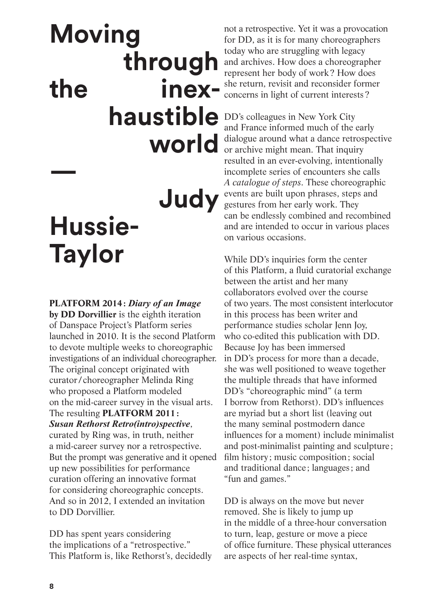## **Moving through the inexhaustible world —**

**Judy** 

## **Hussie-Taylor**

**PLATFORM 2014:** *Diary of an Image* **by DD Dorvillier** is the eighth iteration of Danspace Project's Platform series launched in 2010. It is the second Platform to devote multiple weeks to choreographic investigations of an individual choreographer. The original concept originated with curator/ choreographer Melinda Ring who proposed a Platform modeled on the mid-career survey in the visual arts. The resulting **PLATFORM 2011:**  *Susan Rethorst Retro(intro)spective*,

curated by Ring was, in truth, neither a mid-career survey nor a retrospective. But the prompt was generative and it opened up new possibilities for performance curation offering an innovative format for considering choreographic concepts. And so in 2012, I extended an invitation to DD Dorvillier.

DD has spent years considering the implications of a "retrospective." This Platform is, like Rethorst's, decidedly

not a retrospective. Yet it was a provocation for DD, as it is for many choreographers today who are struggling with legacy and archives. How does a choreographer represent her body of work? How does she return, revisit and reconsider former concerns in light of current interests?

DD's colleagues in New York City and France informed much of the early dialogue around what a dance retrospective or archive might mean. That inquiry resulted in an ever-evolving, intentionally incomplete series of encounters she calls *A catalogue of steps*. These choreographic events are built upon phrases, steps and gestures from her early work. They can be endlessly combined and recombined and are intended to occur in various places on various occasions.

While DD's inquiries form the center of this Platform, a fluid curatorial exchange between the artist and her many collaborators evolved over the course of two years. The most consistent interlocutor in this process has been writer and performance studies scholar Jenn Joy, who co-edited this publication with DD. Because Joy has been immersed in DD's process for more than a decade, she was well positioned to weave together the multiple threads that have informed DD's "choreographic mind" (a term I borrow from Rethorst). DD's influences are myriad but a short list (leaving out the many seminal postmodern dance influences for a moment) include minimalist and post-minimalist painting and sculpture ; film history; music composition; social and traditional dance ; languages ; and "fun and games."

DD is always on the move but never removed. She is likely to jump up in the middle of a three-hour conversation to turn, leap, gesture or move a piece of office furniture. These physical utterances are aspects of her real-time syntax,